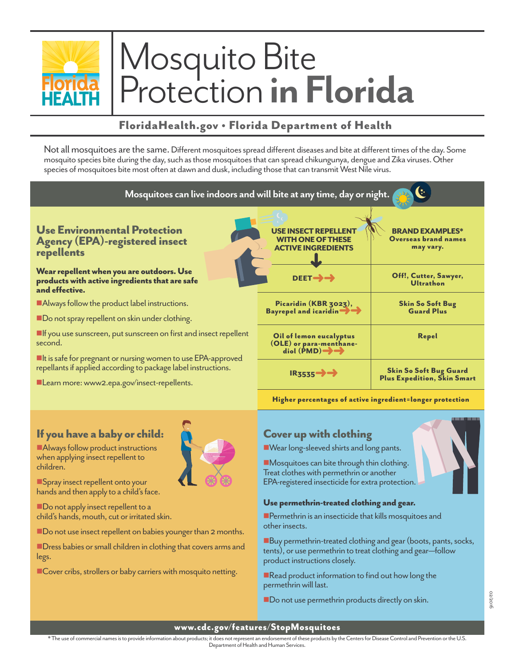

# Mosquito Bite Protection **in Florida**

# FloridaHealth.gov • Florida Department of Health

Not all mosquitoes are the same. Different mosquitoes spread different diseases and bite at different times of the day. Some mosquito species bite during the day, such as those mosquitoes that can spread chikungunya, dengue and Zika viruses. Other species of mosquitoes bite most often at dawn and dusk, including those that can transmit West Nile virus.



## If you have a baby or child:

■Always follow product instructions when applying insect repellent to children.

**nSpray insect repellent onto your** hands and then apply to a child's face.

Do not apply insect repellent to a child's hands, mouth, cut or irritated skin.

■ Do not use insect repellent on babies younger than 2 months.

**nDress babies or small children in clothing that covers arms and** legs.

■Cover cribs, strollers or baby carriers with mosquito netting.

# Cover up with clothing

■ Wear long-sleeved shirts and long pants.

 $\blacksquare$ Mosquitoes can bite through thin clothing. Treat clothes with permethrin or another EPA-registered insecticide for extra protection.

#### Use permethrin-treated clothing and gear.

 $\blacksquare$  Permethrin is an insecticide that kills mosquitoes and other insects.

 $\blacksquare$  Buy permethrin-treated clothing and gear (boots, pants, socks, tents), or use permethrin to treat clothing and gear—follow product instructions closely.

 $\blacksquare$  Read product information to find out how long the permethrin will last.

Do not use permethrin products directly on skin.

02/2016

### www.cdc.gov/features/StopMosquitoes

\* The use of commercial names is to provide information about products; it does not represent an endorsement of these products by the Centers for Disease Control and Prevention or the U.S. Department of Health and Human Services.